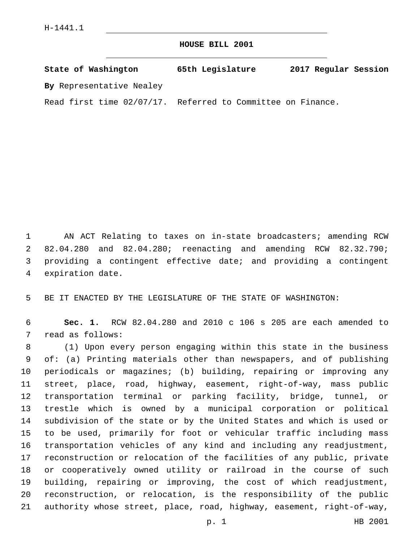## **HOUSE BILL 2001**

| State of Washington                                         | 65th Legislature | 2017 Regular Session |
|-------------------------------------------------------------|------------------|----------------------|
| By Representative Nealey                                    |                  |                      |
| Read first time 02/07/17. Referred to Committee on Finance. |                  |                      |

 AN ACT Relating to taxes on in-state broadcasters; amending RCW 82.04.280 and 82.04.280; reenacting and amending RCW 82.32.790; providing a contingent effective date; and providing a contingent 4 expiration date.

BE IT ENACTED BY THE LEGISLATURE OF THE STATE OF WASHINGTON:

 **Sec. 1.** RCW 82.04.280 and 2010 c 106 s 205 are each amended to 7 read as follows:

 (1) Upon every person engaging within this state in the business of: (a) Printing materials other than newspapers, and of publishing periodicals or magazines; (b) building, repairing or improving any street, place, road, highway, easement, right-of-way, mass public transportation terminal or parking facility, bridge, tunnel, or trestle which is owned by a municipal corporation or political subdivision of the state or by the United States and which is used or to be used, primarily for foot or vehicular traffic including mass transportation vehicles of any kind and including any readjustment, reconstruction or relocation of the facilities of any public, private or cooperatively owned utility or railroad in the course of such building, repairing or improving, the cost of which readjustment, reconstruction, or relocation, is the responsibility of the public authority whose street, place, road, highway, easement, right-of-way,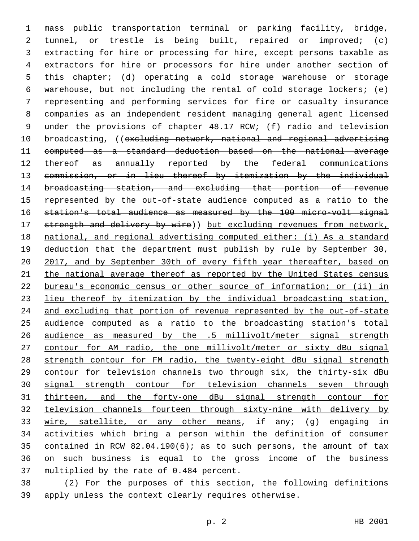mass public transportation terminal or parking facility, bridge, tunnel, or trestle is being built, repaired or improved; (c) extracting for hire or processing for hire, except persons taxable as extractors for hire or processors for hire under another section of this chapter; (d) operating a cold storage warehouse or storage warehouse, but not including the rental of cold storage lockers; (e) representing and performing services for fire or casualty insurance companies as an independent resident managing general agent licensed under the provisions of chapter 48.17 RCW; (f) radio and television 10 broadcasting, ((excluding network, national and regional advertising computed as a standard deduction based on the national average thereof as annually reported by the federal communications commission, or in lieu thereof by itemization by the individual broadcasting station, and excluding that portion of revenue represented by the out-of-state audience computed as a ratio to the station's total audience as measured by the 100 micro-volt signal 17 strength and delivery by wire)) but excluding revenues from network, national, and regional advertising computed either: (i) As a standard deduction that the department must publish by rule by September 30, 20 2017, and by September 30th of every fifth year thereafter, based on 21 the national average thereof as reported by the United States census bureau's economic census or other source of information; or (ii) in lieu thereof by itemization by the individual broadcasting station, and excluding that portion of revenue represented by the out-of-state audience computed as a ratio to the broadcasting station's total audience as measured by the .5 millivolt/meter signal strength contour for AM radio, the one millivolt/meter or sixty dBu signal 28 strength contour for FM radio, the twenty-eight dBu signal strength contour for television channels two through six, the thirty-six dBu signal strength contour for television channels seven through thirteen, and the forty-one dBu signal strength contour for television channels fourteen through sixty-nine with delivery by wire, satellite, or any other means, if any; (g) engaging in activities which bring a person within the definition of consumer contained in RCW 82.04.190(6); as to such persons, the amount of tax on such business is equal to the gross income of the business 37 multiplied by the rate of 0.484 percent.

 (2) For the purposes of this section, the following definitions apply unless the context clearly requires otherwise.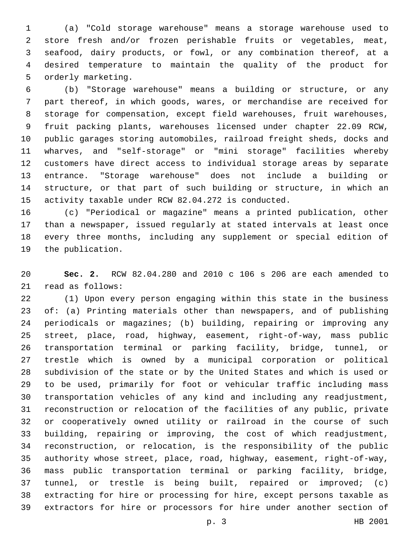(a) "Cold storage warehouse" means a storage warehouse used to store fresh and/or frozen perishable fruits or vegetables, meat, seafood, dairy products, or fowl, or any combination thereof, at a desired temperature to maintain the quality of the product for 5 orderly marketing.

 (b) "Storage warehouse" means a building or structure, or any part thereof, in which goods, wares, or merchandise are received for storage for compensation, except field warehouses, fruit warehouses, fruit packing plants, warehouses licensed under chapter 22.09 RCW, public garages storing automobiles, railroad freight sheds, docks and wharves, and "self-storage" or "mini storage" facilities whereby customers have direct access to individual storage areas by separate entrance. "Storage warehouse" does not include a building or structure, or that part of such building or structure, in which an activity taxable under RCW 82.04.272 is conducted.

 (c) "Periodical or magazine" means a printed publication, other than a newspaper, issued regularly at stated intervals at least once every three months, including any supplement or special edition of 19 the publication.

 **Sec. 2.** RCW 82.04.280 and 2010 c 106 s 206 are each amended to 21 read as follows:

 (1) Upon every person engaging within this state in the business of: (a) Printing materials other than newspapers, and of publishing periodicals or magazines; (b) building, repairing or improving any street, place, road, highway, easement, right-of-way, mass public transportation terminal or parking facility, bridge, tunnel, or trestle which is owned by a municipal corporation or political subdivision of the state or by the United States and which is used or to be used, primarily for foot or vehicular traffic including mass transportation vehicles of any kind and including any readjustment, reconstruction or relocation of the facilities of any public, private or cooperatively owned utility or railroad in the course of such building, repairing or improving, the cost of which readjustment, reconstruction, or relocation, is the responsibility of the public authority whose street, place, road, highway, easement, right-of-way, mass public transportation terminal or parking facility, bridge, tunnel, or trestle is being built, repaired or improved; (c) extracting for hire or processing for hire, except persons taxable as extractors for hire or processors for hire under another section of

p. 3 HB 2001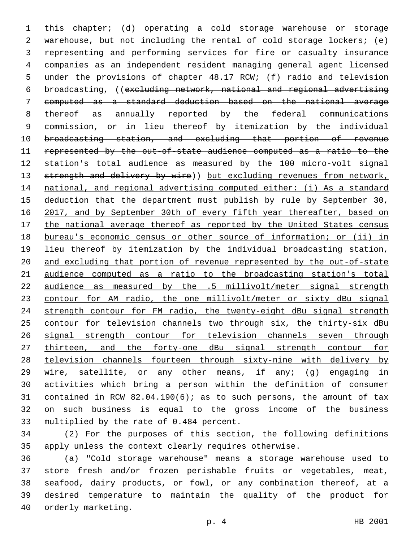this chapter; (d) operating a cold storage warehouse or storage warehouse, but not including the rental of cold storage lockers; (e) representing and performing services for fire or casualty insurance companies as an independent resident managing general agent licensed under the provisions of chapter 48.17 RCW; (f) radio and television broadcasting, ((excluding network, national and regional advertising computed as a standard deduction based on the national average thereof as annually reported by the federal communications commission, or in lieu thereof by itemization by the individual broadcasting station, and excluding that portion of revenue represented by the out-of-state audience computed as a ratio to the station's total audience as measured by the 100 micro-volt signal 13 strength and delivery by wire)) but excluding revenues from network, national, and regional advertising computed either: (i) As a standard 15 deduction that the department must publish by rule by September 30, 16 2017, and by September 30th of every fifth year thereafter, based on 17 the national average thereof as reported by the United States census bureau's economic census or other source of information; or (ii) in lieu thereof by itemization by the individual broadcasting station, and excluding that portion of revenue represented by the out-of-state audience computed as a ratio to the broadcasting station's total audience as measured by the .5 millivolt/meter signal strength contour for AM radio, the one millivolt/meter or sixty dBu signal strength contour for FM radio, the twenty-eight dBu signal strength contour for television channels two through six, the thirty-six dBu signal strength contour for television channels seven through thirteen, and the forty-one dBu signal strength contour for television channels fourteen through sixty-nine with delivery by wire, satellite, or any other means, if any; (g) engaging in activities which bring a person within the definition of consumer contained in RCW 82.04.190(6); as to such persons, the amount of tax on such business is equal to the gross income of the business 33 multiplied by the rate of 0.484 percent.

 (2) For the purposes of this section, the following definitions apply unless the context clearly requires otherwise.

 (a) "Cold storage warehouse" means a storage warehouse used to store fresh and/or frozen perishable fruits or vegetables, meat, seafood, dairy products, or fowl, or any combination thereof, at a desired temperature to maintain the quality of the product for 40 orderly marketing.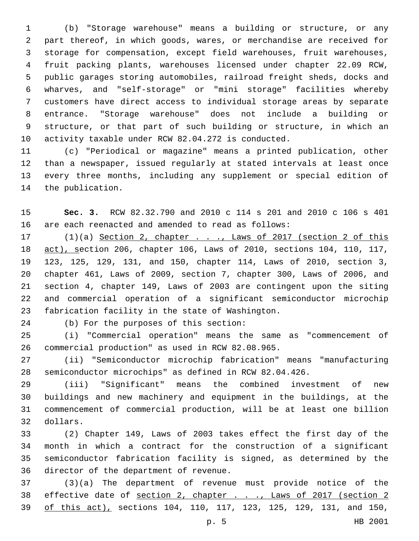(b) "Storage warehouse" means a building or structure, or any part thereof, in which goods, wares, or merchandise are received for storage for compensation, except field warehouses, fruit warehouses, fruit packing plants, warehouses licensed under chapter 22.09 RCW, public garages storing automobiles, railroad freight sheds, docks and wharves, and "self-storage" or "mini storage" facilities whereby customers have direct access to individual storage areas by separate entrance. "Storage warehouse" does not include a building or structure, or that part of such building or structure, in which an activity taxable under RCW 82.04.272 is conducted.

 (c) "Periodical or magazine" means a printed publication, other than a newspaper, issued regularly at stated intervals at least once every three months, including any supplement or special edition of 14 the publication.

 **Sec. 3.** RCW 82.32.790 and 2010 c 114 s 201 and 2010 c 106 s 401 are each reenacted and amended to read as follows:

 (1)(a) Section 2, chapter . . ., Laws of 2017 (section 2 of this act), section 206, chapter 106, Laws of 2010, sections 104, 110, 117, 123, 125, 129, 131, and 150, chapter 114, Laws of 2010, section 3, chapter 461, Laws of 2009, section 7, chapter 300, Laws of 2006, and section 4, chapter 149, Laws of 2003 are contingent upon the siting and commercial operation of a significant semiconductor microchip 23 fabrication facility in the state of Washington.

24 (b) For the purposes of this section:

 (i) "Commercial operation" means the same as "commencement of 26 commercial production" as used in RCW 82.08.965.

 (ii) "Semiconductor microchip fabrication" means "manufacturing semiconductor microchips" as defined in RCW 82.04.426.

 (iii) "Significant" means the combined investment of new buildings and new machinery and equipment in the buildings, at the commencement of commercial production, will be at least one billion dollars.32

 (2) Chapter 149, Laws of 2003 takes effect the first day of the month in which a contract for the construction of a significant semiconductor fabrication facility is signed, as determined by the 36 director of the department of revenue.

 (3)(a) The department of revenue must provide notice of the 38 effective date of section 2, chapter . . ., Laws of 2017 (section 2 of this act), sections 104, 110, 117, 123, 125, 129, 131, and 150,